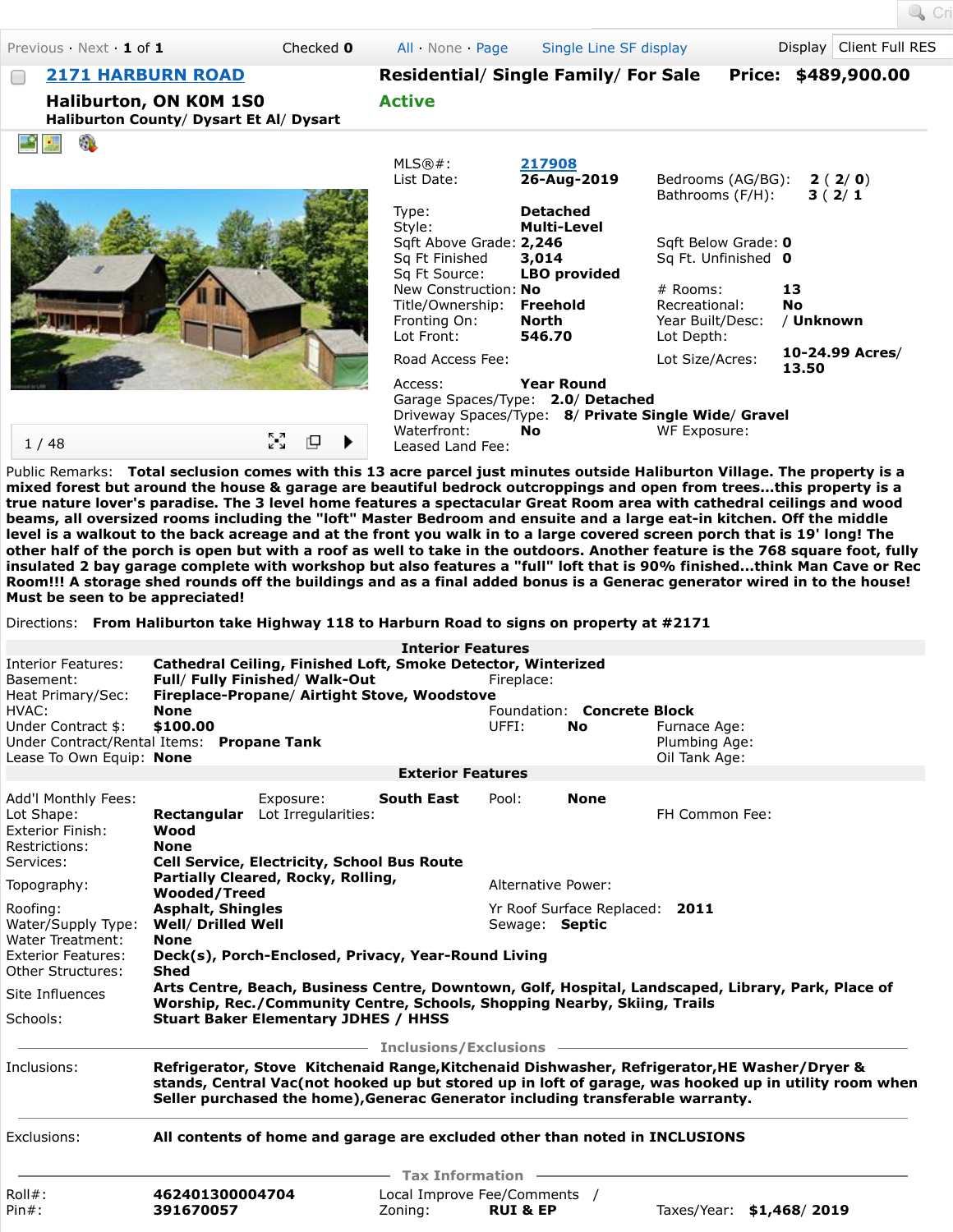Previous · Next · **1** of **1** Checked **0** [All](javascript:void(0)) · [None](javascript:void(0)) · [Page](javascript:void(0);) [Single Line SF display](javascript:__doPostBack() Display Client Full RES

[Cri](javascript:__doPostBack()

**Haliburton, ON K0M 1S0 Haliburton County**/ **Dysart Et Al**/ **Dysart**

| <b>2171 HARBURN ROAD</b> | <b>Residential/ Single Family/ For Sale</b> | Price: \$489,900.00 |
|--------------------------|---------------------------------------------|---------------------|
| Haliburton, ON KOM 1SO   | <b>Active</b>                               |                     |



1 / 48



ू<br>४

rQ.

| $MLS@#$ :<br>List Date:          | 217908<br>26-Aug-2019                                | Bedrooms (AG/BG):<br>Bathrooms (F/H): | 2(2/0)<br>3(2/1)         |
|----------------------------------|------------------------------------------------------|---------------------------------------|--------------------------|
| Type:<br>Style:                  | <b>Detached</b><br><b>Multi-Level</b>                |                                       |                          |
| Sqft Above Grade: 2,246          |                                                      | Sqft Below Grade: 0                   |                          |
| Sq Ft Finished                   | 3,014                                                | Sq Ft. Unfinished 0                   |                          |
| Sg Ft Source:                    | <b>LBO</b> provided                                  |                                       |                          |
| New Construction: No             |                                                      | # Rooms:                              | 13                       |
| Title/Ownership: <b>Freehold</b> |                                                      | Recreational:                         | No                       |
| Fronting On:                     | North                                                | Year Built/Desc:                      | / Unknown                |
| Lot Front:                       | 546.70                                               | Lot Depth:                            |                          |
| Road Access Fee:                 |                                                      | Lot Size/Acres:                       | 10-24.99 Acres/<br>13.50 |
| Access:                          | <b>Year Round</b>                                    |                                       |                          |
|                                  | Garage Spaces/Type: 2.0/ Detached                    |                                       |                          |
|                                  | Driveway Spaces/Type: 8/ Private Single Wide/ Gravel |                                       |                          |
| Waterfront:                      | No.                                                  | WF Exposure:                          |                          |

Leased Land Fee:

Public Remarks: **Total seclusion comes with this 13 acre parcel just minutes outside Haliburton Village. The property is a mixed forest but around the house & garage are beautiful bedrock outcroppings and open from trees...this property is a true nature lover's paradise. The 3 level home features a spectacular Great Room area with cathedral ceilings and wood beams, all oversized rooms including the "loft" Master Bedroom and ensuite and a large eat-in kitchen. Off the middle level is a walkout to the back acreage and at the front you walk in to a large covered screen porch that is 19' long! The other half of the porch is open but with a roof as well to take in the outdoors. Another feature is the 768 square foot, fully insulated 2 bay garage complete with workshop but also features a "full" loft that is 90% finished...think Man Cave or Rec Room!!! A storage shed rounds off the buildings and as a final added bonus is a Generac generator wired in to the house! Must be seen to be appreciated!**

Directions: **From Haliburton take Highway 118 to Harburn Road to signs on property at #2171**

|                                                                                             |                                                                                                                                                                                                                                                                                         |                                  | <b>Interior Features</b>                         |                     |                                   |                                                |
|---------------------------------------------------------------------------------------------|-----------------------------------------------------------------------------------------------------------------------------------------------------------------------------------------------------------------------------------------------------------------------------------------|----------------------------------|--------------------------------------------------|---------------------|-----------------------------------|------------------------------------------------|
| <b>Interior Features:</b><br>Basement:<br>Heat Primary/Sec:                                 | Cathedral Ceiling, Finished Loft, Smoke Detector, Winterized<br>Full/ Fully Finished/ Walk-Out<br>Fireplace-Propane/ Airtight Stove, Woodstove                                                                                                                                          |                                  |                                                  | Fireplace:          |                                   |                                                |
| HVAC:                                                                                       | <b>None</b>                                                                                                                                                                                                                                                                             |                                  |                                                  |                     | Foundation: <b>Concrete Block</b> |                                                |
| Under Contract \$:<br>Under Contract/Rental Items: Propane Tank<br>Lease To Own Equip: None | \$100.00                                                                                                                                                                                                                                                                                |                                  |                                                  | UFFI:               | <b>No</b>                         | Furnace Age:<br>Plumbing Age:<br>Oil Tank Age: |
|                                                                                             |                                                                                                                                                                                                                                                                                         |                                  | <b>Exterior Features</b>                         |                     |                                   |                                                |
|                                                                                             |                                                                                                                                                                                                                                                                                         |                                  |                                                  |                     |                                   |                                                |
| Add'l Monthly Fees:<br>Lot Shape:<br><b>Exterior Finish:</b><br>Restrictions:<br>Services:  | Rectangular<br>Wood<br><b>None</b><br><b>Cell Service, Electricity, School Bus Route</b>                                                                                                                                                                                                | Exposure:<br>Lot Irregularities: | <b>South East</b>                                | Pool:               | <b>None</b>                       | FH Common Fee:                                 |
| Topography:                                                                                 | Partially Cleared, Rocky, Rolling,<br><b>Wooded/Treed</b><br><b>Asphalt, Shingles</b><br><b>Well/ Drilled Well</b><br><b>None</b><br>Deck(s), Porch-Enclosed, Privacy, Year-Round Living                                                                                                |                                  | Alternative Power:                               |                     |                                   |                                                |
| Roofing:<br>Water/Supply Type:<br><b>Water Treatment:</b><br><b>Exterior Features:</b>      |                                                                                                                                                                                                                                                                                         |                                  | Yr Roof Surface Replaced: 2011<br>Sewage: Septic |                     |                                   |                                                |
| <b>Other Structures:</b>                                                                    | <b>Shed</b>                                                                                                                                                                                                                                                                             |                                  |                                                  |                     |                                   |                                                |
| Site Influences                                                                             | Arts Centre, Beach, Business Centre, Downtown, Golf, Hospital, Landscaped, Library, Park, Place of<br>Worship, Rec./Community Centre, Schools, Shopping Nearby, Skiing, Trails                                                                                                          |                                  |                                                  |                     |                                   |                                                |
| Schools:                                                                                    | <b>Stuart Baker Elementary JDHES / HHSS</b>                                                                                                                                                                                                                                             |                                  |                                                  |                     |                                   |                                                |
|                                                                                             |                                                                                                                                                                                                                                                                                         |                                  | <b>Inclusions/Exclusions -</b>                   |                     |                                   |                                                |
| Inclusions:                                                                                 | Refrigerator, Stove Kitchenaid Range, Kitchenaid Dishwasher, Refrigerator, HE Washer/Dryer &<br>stands, Central Vac(not hooked up but stored up in loft of garage, was hooked up in utility room when<br>Seller purchased the home), Generac Generator including transferable warranty. |                                  |                                                  |                     |                                   |                                                |
| Exclusions:                                                                                 | All contents of home and garage are excluded other than noted in INCLUSIONS                                                                                                                                                                                                             |                                  |                                                  |                     |                                   |                                                |
|                                                                                             |                                                                                                                                                                                                                                                                                         |                                  | <b>Tax Information</b>                           |                     |                                   |                                                |
| $Roll#$ :<br>$Pin#$ :                                                                       | 462401300004704<br>391670057                                                                                                                                                                                                                                                            |                                  | Local Improve Fee/Comments /<br>Zoning:          | <b>RUI &amp; EP</b> |                                   | Taxes/Year: \$1,468/2019                       |